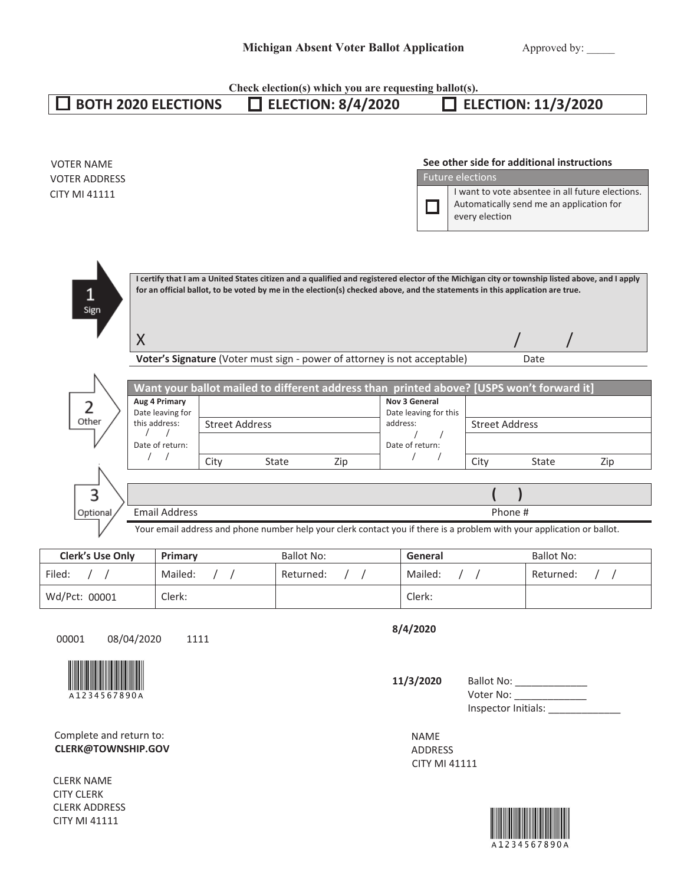|                                                                                 |                                                                                                                                | Check election(s) which you are requesting ballot(s).                                                                                                                                                     |                                                                               |                                                                                                                                                       |
|---------------------------------------------------------------------------------|--------------------------------------------------------------------------------------------------------------------------------|-----------------------------------------------------------------------------------------------------------------------------------------------------------------------------------------------------------|-------------------------------------------------------------------------------|-------------------------------------------------------------------------------------------------------------------------------------------------------|
|                                                                                 | <b>BOTH 2020 ELECTIONS</b>                                                                                                     | <b>ELECTION: 8/4/2020</b>                                                                                                                                                                                 |                                                                               | <b>ELECTION: 11/3/2020</b>                                                                                                                            |
| <b>VOTER NAME</b><br><b>VOTER ADDRESS</b><br><b>CITY MI 41111</b>               |                                                                                                                                |                                                                                                                                                                                                           | <b>Future elections</b><br>٦<br>every election                                | See other side for additional instructions<br>I want to vote absentee in all future elections.<br>Automatically send me an application for            |
| $\mathbf{1}$<br>Sign                                                            | $\sf X$                                                                                                                        | for an official ballot, to be voted by me in the election(s) checked above, and the statements in this application are true.<br>Voter's Signature (Voter must sign - power of attorney is not acceptable) |                                                                               | I certify that I am a United States citizen and a qualified and registered elector of the Michigan city or township listed above, and I apply<br>Date |
| $\overline{2}$<br>Other                                                         | Aug 4 Primary<br>Date leaving for<br><b>Street Address</b><br>this address:<br>$\prime$<br>Date of return:<br>$\prime$<br>City | Want your ballot mailed to different address than printed above? [USPS won't forward it]<br>State<br>Zip                                                                                                  | Nov 3 General<br>Date leaving for this<br>address:<br>Date of return:<br>City | <b>Street Address</b><br>State<br>Zip                                                                                                                 |
| 3                                                                               |                                                                                                                                |                                                                                                                                                                                                           |                                                                               |                                                                                                                                                       |
| <b>Email Address</b><br>Optional                                                |                                                                                                                                | Phone #                                                                                                                                                                                                   |                                                                               |                                                                                                                                                       |
|                                                                                 |                                                                                                                                |                                                                                                                                                                                                           |                                                                               | Your email address and phone number help your clerk contact you if there is a problem with your application or ballot.                                |
| <b>Clerk's Use Only</b>                                                         | Primary                                                                                                                        | <b>Ballot No:</b>                                                                                                                                                                                         | General                                                                       | <b>Ballot No:</b>                                                                                                                                     |
| Filed:                                                                          | Mailed:                                                                                                                        | Returned:                                                                                                                                                                                                 | Mailed:                                                                       | Returned:                                                                                                                                             |
| Wd/Pct: 00001                                                                   | Clerk:                                                                                                                         |                                                                                                                                                                                                           | Clerk:                                                                        |                                                                                                                                                       |
| 08/04/2020<br>00001                                                             | 1111                                                                                                                           |                                                                                                                                                                                                           | 8/4/2020                                                                      |                                                                                                                                                       |
| A1234567890A                                                                    |                                                                                                                                |                                                                                                                                                                                                           | 11/3/2020                                                                     | Ballot No: _______________<br>Voter No: _______________<br>Inspector Initials:                                                                        |
| Complete and return to:<br><b>CLERK@TOWNSHIP.GOV</b>                            |                                                                                                                                |                                                                                                                                                                                                           | NAME<br>ADDRESS<br>CITY MI 41111                                              |                                                                                                                                                       |
| <b>CLERK NAME</b><br><b>CITY CLERK</b><br><b>CLERK ADDRESS</b><br>CITY MI 41111 |                                                                                                                                |                                                                                                                                                                                                           |                                                                               | 34567890                                                                                                                                              |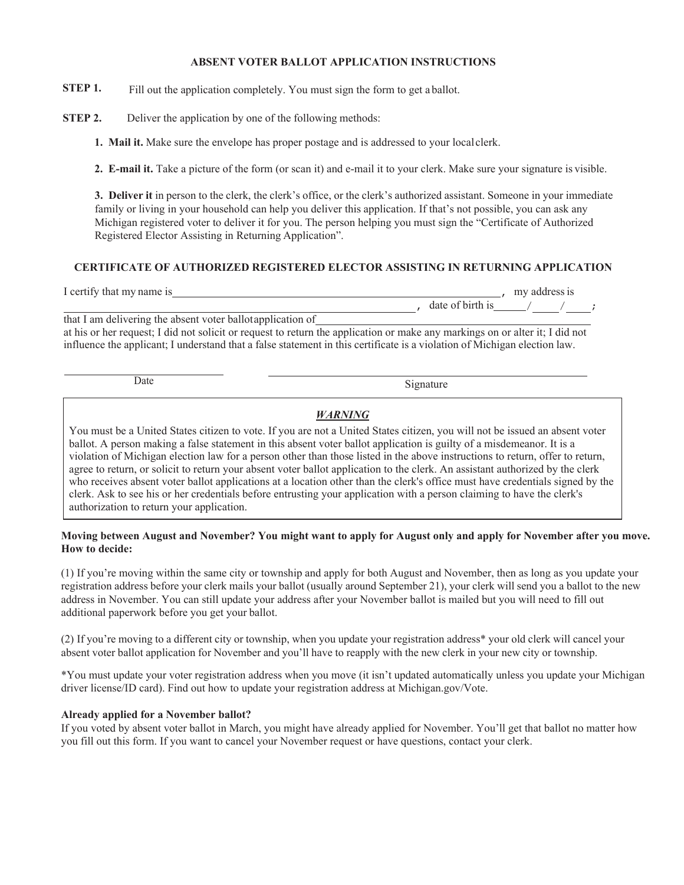#### **ABSENT VOTER BALLOT APPLICATION INSTRUCTIONS**

**STEP 1.** Fill out the application completely. You must sign the form to get a ballot.

**STEP 2.** Deliver the application by one of the following methods:

**1. Mail it.** Make sure the envelope has proper postage and is addressed to your local clerk.

**2. E-mail it.** Take a picture of the form (or scan it) and e-mail it to your clerk. Make sure your signature is visible.

**3. Deliver it** in person to the clerk, the clerk's office, or the clerk's authorized assistant. Someone in your immediate family or living in your household can help you deliver this application. If that's not possible, you can ask any Michigan registered voter to deliver it for you. The person helping you must sign the "Certificate of Authorized Registered Elector Assisting in Returning Application".

### **CERTIFICATE OF AUTHORIZED REGISTERED ELECTOR ASSISTING IN RETURNING APPLICATION**

| I certify that my name is                                  | my address is    |  |  |
|------------------------------------------------------------|------------------|--|--|
|                                                            | date of birth is |  |  |
| that I am delivering the absent voter ballotapplication of |                  |  |  |

at his or her request; I did not solicit or request to return the application or make any markings on or alter it; I did not influence the applicant; I understand that a false statement in this certificate is a violation of Michigan election law.

Date Signature

## *WARNING*

You must be a United States citizen to vote. If you are not a United States citizen, you will not be issued an absent voter ballot. A person making a false statement in this absent voter ballot application is guilty of a misdemeanor. It is a violation of Michigan election law for a person other than those listed in the above instructions to return, offer to return, agree to return, or solicit to return your absent voter ballot application to the clerk. An assistant authorized by the clerk who receives absent voter ballot applications at a location other than the clerk's office must have credentials signed by the clerk. Ask to see his or her credentials before entrusting your application with a person claiming to have the clerk's authorization to return your application.

### **Moving between August and November? You might want to apply for August only and apply for November after you move. How to decide:**

(1) If you're moving within the same city or township and apply for both August and November, then as long as you update your registration address before your clerk mails your ballot (usually around September 21), your clerk will send you a ballot to the new address in November. You can still update your address after your November ballot is mailed but you will need to fill out additional paperwork before you get your ballot.

(2) If you're moving to a different city or township, when you update your registration address\* your old clerk will cancel your absent voter ballot application for November and you'll have to reapply with the new clerk in your new city or township.

\*You must update your voter registration address when you move (it isn't updated automatically unless you update your Michigan driver license/ID card). Find out how to update your registration address at Michigan.gov/Vote.

### **Already applied for a November ballot?**

If you voted by absent voter ballot in March, you might have already applied for November. You'll get that ballot no matter how you fill out this form. If you want to cancel your November request or have questions, contact your clerk.